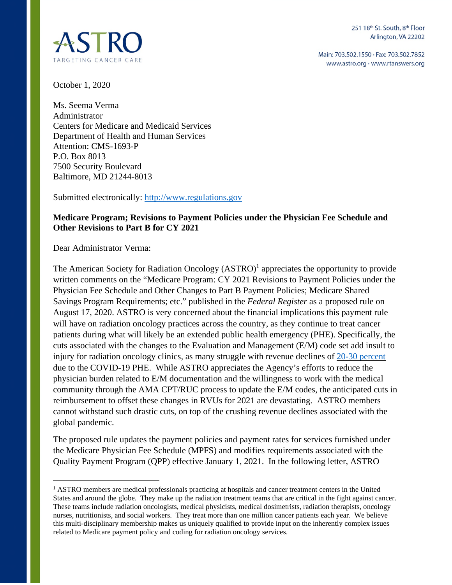

Main: 703.502.1550 · Fax: 703.502.7852 www.astro.org · www.rtanswers.org

October 1, 2020

Ms. Seema Verma Administrator Centers for Medicare and Medicaid Services Department of Health and Human Services Attention: CMS-1693-P P.O. Box 8013 7500 Security Boulevard Baltimore, MD 21244-8013

Submitted electronically: [http://www.regulations.gov](http://www.regulations.gov/)

### **Medicare Program; Revisions to Payment Policies under the Physician Fee Schedule and Other Revisions to Part B for CY 2021**

Dear Administrator Verma:

The American Society for Radiation Oncology (ASTRO)<sup>1</sup> appreciates the opportunity to provide written comments on the "Medicare Program: CY 2021 Revisions to Payment Policies under the Physician Fee Schedule and Other Changes to Part B Payment Policies; Medicare Shared Savings Program Requirements; etc." published in the *Federal Register* as a proposed rule on August 17, 2020. ASTRO is very concerned about the financial implications this payment rule will have on radiation oncology practices across the country, as they continue to treat cancer patients during what will likely be an extended public health emergency (PHE). Specifically, the cuts associated with the changes to the Evaluation and Management (E/M) code set add insult to injury for radiation oncology clinics, as many struggle with revenue declines of [20-30 percent](https://www.astro.org/ASTRO/media/ASTRO/News%20and%20Publications/PDFs/ASTROCOVID19Survey1-ExecSummary.pdf) due to the COVID-19 PHE. While ASTRO appreciates the Agency's efforts to reduce the physician burden related to E/M documentation and the willingness to work with the medical community through the AMA CPT/RUC process to update the E/M codes, the anticipated cuts in reimbursement to offset these changes in RVUs for 2021 are devastating. ASTRO members cannot withstand such drastic cuts, on top of the crushing revenue declines associated with the global pandemic.

The proposed rule updates the payment policies and payment rates for services furnished under the Medicare Physician Fee Schedule (MPFS) and modifies requirements associated with the Quality Payment Program (QPP) effective January 1, 2021. In the following letter, ASTRO

<sup>&</sup>lt;sup>1</sup> ASTRO members are medical professionals practicing at hospitals and cancer treatment centers in the United States and around the globe. They make up the radiation treatment teams that are critical in the fight against cancer. These teams include radiation oncologists, medical physicists, medical dosimetrists, radiation therapists, oncology nurses, nutritionists, and social workers. They treat more than one million cancer patients each year. We believe this multi-disciplinary membership makes us uniquely qualified to provide input on the inherently complex issues related to Medicare payment policy and coding for radiation oncology services.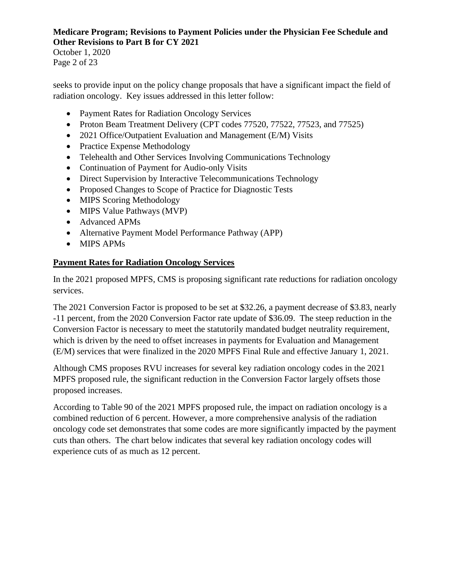October 1, 2020 Page 2 of 23

seeks to provide input on the policy change proposals that have a significant impact the field of radiation oncology. Key issues addressed in this letter follow:

- Payment Rates for Radiation Oncology Services
- Proton Beam Treatment Delivery (CPT codes 77520, 77522, 77523, and 77525)
- 2021 Office/Outpatient Evaluation and Management (E/M) Visits
- Practice Expense Methodology
- Telehealth and Other Services Involving Communications Technology
- Continuation of Payment for Audio-only Visits
- Direct Supervision by Interactive Telecommunications Technology
- Proposed Changes to Scope of Practice for Diagnostic Tests
- MIPS Scoring Methodology
- MIPS Value Pathways (MVP)
- Advanced APMs
- Alternative Payment Model Performance Pathway (APP)
- MIPS APMs

## **Payment Rates for Radiation Oncology Services**

In the 2021 proposed MPFS, CMS is proposing significant rate reductions for radiation oncology services.

The 2021 Conversion Factor is proposed to be set at \$32.26, a payment decrease of \$3.83, nearly -11 percent, from the 2020 Conversion Factor rate update of \$36.09. The steep reduction in the Conversion Factor is necessary to meet the statutorily mandated budget neutrality requirement, which is driven by the need to offset increases in payments for Evaluation and Management (E/M) services that were finalized in the 2020 MPFS Final Rule and effective January 1, 2021.

Although CMS proposes RVU increases for several key radiation oncology codes in the 2021 MPFS proposed rule, the significant reduction in the Conversion Factor largely offsets those proposed increases.

According to Table 90 of the 2021 MPFS proposed rule, the impact on radiation oncology is a combined reduction of 6 percent. However, a more comprehensive analysis of the radiation oncology code set demonstrates that some codes are more significantly impacted by the payment cuts than others. The chart below indicates that several key radiation oncology codes will experience cuts of as much as 12 percent.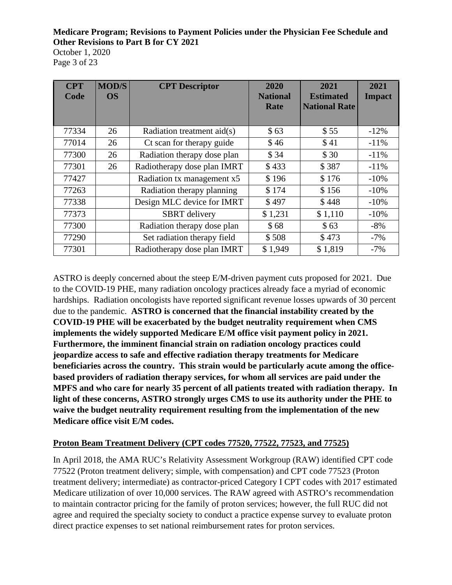October 1, 2020 Page 3 of 23

| <b>CPT</b><br>Code | <b>MOD/S</b><br><b>OS</b> | <b>CPT</b> Descriptor        | 2020<br><b>National</b><br>Rate | 2021<br><b>Estimated</b><br><b>National Rate</b> | 2021<br><b>Impact</b> |
|--------------------|---------------------------|------------------------------|---------------------------------|--------------------------------------------------|-----------------------|
| 77334              | 26                        | Radiation treatment $aid(s)$ | \$63                            | \$55                                             | $-12\%$               |
| 77014              | 26                        | Ct scan for therapy guide    | \$46                            | \$41                                             | $-11\%$               |
| 77300              | 26                        | Radiation therapy dose plan  | \$34                            | \$30                                             | $-11\%$               |
| 77301              | 26                        | Radiotherapy dose plan IMRT  | \$433                           | \$387                                            | $-11\%$               |
| 77427              |                           | Radiation tx management x5   | \$196                           | \$176                                            | $-10%$                |
| 77263              |                           | Radiation therapy planning   | \$174                           | \$156                                            | $-10\%$               |
| 77338              |                           | Design MLC device for IMRT   | \$497                           | \$448                                            | $-10%$                |
| 77373              |                           | <b>SBRT</b> delivery         | \$1,231                         | \$1,110                                          | $-10\%$               |
| 77300              |                           | Radiation therapy dose plan  | \$68                            | \$63                                             | $-8%$                 |
| 77290              |                           | Set radiation therapy field  | \$508                           | \$473                                            | $-7%$                 |
| 77301              |                           | Radiotherapy dose plan IMRT  | \$1,949                         | \$1,819                                          | $-7%$                 |

ASTRO is deeply concerned about the steep E/M-driven payment cuts proposed for 2021. Due to the COVID-19 PHE, many radiation oncology practices already face a myriad of economic hardships. Radiation oncologists have reported significant revenue losses upwards of 30 percent due to the pandemic. **ASTRO is concerned that the financial instability created by the COVID-19 PHE will be exacerbated by the budget neutrality requirement when CMS implements the widely supported Medicare E/M office visit payment policy in 2021. Furthermore, the imminent financial strain on radiation oncology practices could jeopardize access to safe and effective radiation therapy treatments for Medicare beneficiaries across the country. This strain would be particularly acute among the officebased providers of radiation therapy services, for whom all services are paid under the MPFS and who care for nearly 35 percent of all patients treated with radiation therapy. In light of these concerns, ASTRO strongly urges CMS to use its authority under the PHE to waive the budget neutrality requirement resulting from the implementation of the new Medicare office visit E/M codes.** 

## **Proton Beam Treatment Delivery (CPT codes 77520, 77522, 77523, and 77525)**

In April 2018, the AMA RUC's Relativity Assessment Workgroup (RAW) identified CPT code 77522 (Proton treatment delivery; simple, with compensation) and CPT code 77523 (Proton treatment delivery; intermediate) as contractor-priced Category I CPT codes with 2017 estimated Medicare utilization of over 10,000 services. The RAW agreed with ASTRO's recommendation to maintain contractor pricing for the family of proton services; however, the full RUC did not agree and required the specialty society to conduct a practice expense survey to evaluate proton direct practice expenses to set national reimbursement rates for proton services.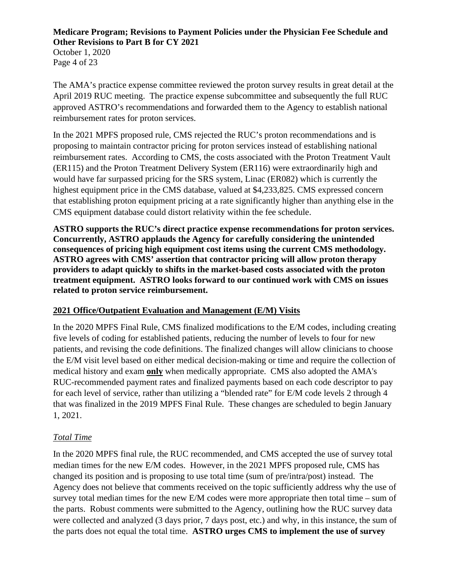October 1, 2020 Page 4 of 23

The AMA's practice expense committee reviewed the proton survey results in great detail at the April 2019 RUC meeting. The practice expense subcommittee and subsequently the full RUC approved ASTRO's recommendations and forwarded them to the Agency to establish national reimbursement rates for proton services.

In the 2021 MPFS proposed rule, CMS rejected the RUC's proton recommendations and is proposing to maintain contractor pricing for proton services instead of establishing national reimbursement rates. According to CMS, the costs associated with the Proton Treatment Vault (ER115) and the Proton Treatment Delivery System (ER116) were extraordinarily high and would have far surpassed pricing for the SRS system, Linac (ER082) which is currently the highest equipment price in the CMS database, valued at \$4,233,825. CMS expressed concern that establishing proton equipment pricing at a rate significantly higher than anything else in the CMS equipment database could distort relativity within the fee schedule.

**ASTRO supports the RUC's direct practice expense recommendations for proton services. Concurrently, ASTRO applauds the Agency for carefully considering the unintended consequences of pricing high equipment cost items using the current CMS methodology. ASTRO agrees with CMS' assertion that contractor pricing will allow proton therapy providers to adapt quickly to shifts in the market-based costs associated with the proton treatment equipment. ASTRO looks forward to our continued work with CMS on issues related to proton service reimbursement.** 

## **2021 Office/Outpatient Evaluation and Management (E/M) Visits**

In the 2020 MPFS Final Rule, CMS finalized modifications to the E/M codes, including creating five levels of coding for established patients, reducing the number of levels to four for new patients, and revising the code definitions. The finalized changes will allow clinicians to choose the E/M visit level based on either medical decision-making or time and require the collection of medical history and exam **only** when medically appropriate. CMS also adopted the AMA's RUC-recommended payment rates and finalized payments based on each code descriptor to pay for each level of service, rather than utilizing a "blended rate" for E/M code levels 2 through 4 that was finalized in the 2019 MPFS Final Rule. These changes are scheduled to begin January 1, 2021.

## *Total Time*

In the 2020 MPFS final rule, the RUC recommended, and CMS accepted the use of survey total median times for the new E/M codes. However, in the 2021 MPFS proposed rule, CMS has changed its position and is proposing to use total time (sum of pre/intra/post) instead. The Agency does not believe that comments received on the topic sufficiently address why the use of survey total median times for the new E/M codes were more appropriate then total time – sum of the parts. Robust comments were submitted to the Agency, outlining how the RUC survey data were collected and analyzed (3 days prior, 7 days post, etc.) and why, in this instance, the sum of the parts does not equal the total time. **ASTRO urges CMS to implement the use of survey**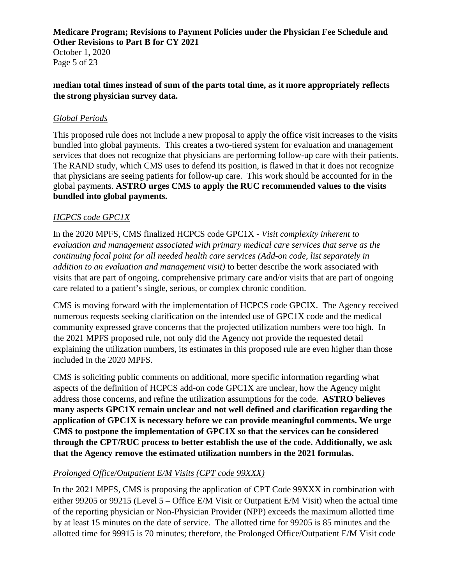October 1, 2020 Page 5 of 23

### **median total times instead of sum of the parts total time, as it more appropriately reflects the strong physician survey data.**

## *Global Periods*

This proposed rule does not include a new proposal to apply the office visit increases to the visits bundled into global payments. This creates a two-tiered system for evaluation and management services that does not recognize that physicians are performing follow-up care with their patients. The RAND study, which CMS uses to defend its position, is flawed in that it does not recognize that physicians are seeing patients for follow-up care. This work should be accounted for in the global payments. **ASTRO urges CMS to apply the RUC recommended values to the visits bundled into global payments.** 

## *HCPCS code GPC1X*

In the 2020 MPFS, CMS finalized HCPCS code GPC1X - *Visit complexity inherent to evaluation and management associated with primary medical care services that serve as the continuing focal point for all needed health care services (Add-on code, list separately in addition to an evaluation and management visit)* to better describe the work associated with visits that are part of ongoing, comprehensive primary care and/or visits that are part of ongoing care related to a patient's single, serious, or complex chronic condition.

CMS is moving forward with the implementation of HCPCS code GPCIX. The Agency received numerous requests seeking clarification on the intended use of GPC1X code and the medical community expressed grave concerns that the projected utilization numbers were too high. In the 2021 MPFS proposed rule, not only did the Agency not provide the requested detail explaining the utilization numbers, its estimates in this proposed rule are even higher than those included in the 2020 MPFS.

CMS is soliciting public comments on additional, more specific information regarding what aspects of the definition of HCPCS add-on code GPC1X are unclear, how the Agency might address those concerns, and refine the utilization assumptions for the code. **ASTRO believes many aspects GPC1X remain unclear and not well defined and clarification regarding the application of GPC1X is necessary before we can provide meaningful comments. We urge CMS to postpone the implementation of GPC1X so that the services can be considered through the CPT/RUC process to better establish the use of the code. Additionally, we ask that the Agency remove the estimated utilization numbers in the 2021 formulas.** 

## *Prolonged Office/Outpatient E/M Visits (CPT code 99XXX)*

In the 2021 MPFS, CMS is proposing the application of CPT Code 99XXX in combination with either 99205 or 99215 (Level 5 – Office E/M Visit or Outpatient E/M Visit) when the actual time of the reporting physician or Non-Physician Provider (NPP) exceeds the maximum allotted time by at least 15 minutes on the date of service. The allotted time for 99205 is 85 minutes and the allotted time for 99915 is 70 minutes; therefore, the Prolonged Office/Outpatient E/M Visit code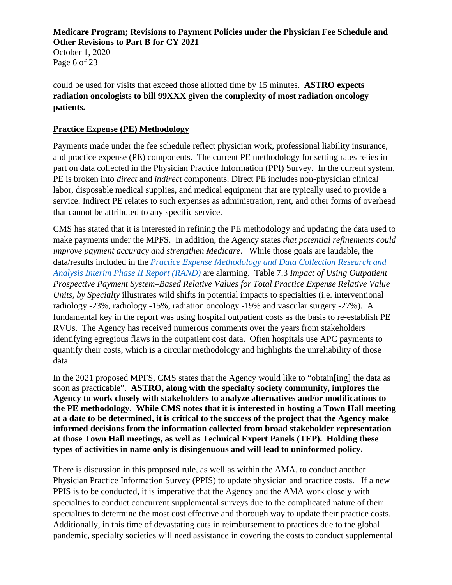October 1, 2020 Page 6 of 23

could be used for visits that exceed those allotted time by 15 minutes. **ASTRO expects radiation oncologists to bill 99XXX given the complexity of most radiation oncology patients.** 

### **Practice Expense (PE) Methodology**

Payments made under the fee schedule reflect physician work, professional liability insurance, and practice expense (PE) components. The current PE methodology for setting rates relies in part on data collected in the Physician Practice Information (PPI) Survey. In the current system, PE is broken into *direct* and *indirect* components. Direct PE includes non-physician clinical labor, disposable medical supplies, and medical equipment that are typically used to provide a service. Indirect PE relates to such expenses as administration, rent, and other forms of overhead that cannot be attributed to any specific service.

CMS has stated that it is interested in refining the PE methodology and updating the data used to make payments under the MPFS. In addition, the Agency states *that potential refinements could improve payment accuracy and strengthen Medicare*. While those goals are laudable, the data/results included in the *[Practice Expense Methodology and Data Collection Research and](https://www.rand.org/pubs/research_reports/RR3248.html)  [Analysis Interim Phase II Report \(RAND\)](https://www.rand.org/pubs/research_reports/RR3248.html)* are alarming. Table 7.3 *Impact of Using Outpatient Prospective Payment System–Based Relative Values for Total Practice Expense Relative Value Units, by Specialty* illustrates wild shifts in potential impacts to specialties (i.e. interventional radiology -23%, radiology -15%, radiation oncology -19% and vascular surgery -27%). A fundamental key in the report was using hospital outpatient costs as the basis to re-establish PE RVUs. The Agency has received numerous comments over the years from stakeholders identifying egregious flaws in the outpatient cost data. Often hospitals use APC payments to quantify their costs, which is a circular methodology and highlights the unreliability of those data.

In the 2021 proposed MPFS, CMS states that the Agency would like to "obtain [ing] the data as soon as practicable". **ASTRO, along with the specialty society community, implores the Agency to work closely with stakeholders to analyze alternatives and/or modifications to the PE methodology. While CMS notes that it is interested in hosting a Town Hall meeting at a date to be determined, it is critical to the success of the project that the Agency make informed decisions from the information collected from broad stakeholder representation at those Town Hall meetings, as well as Technical Expert Panels (TEP). Holding these types of activities in name only is disingenuous and will lead to uninformed policy.**

There is discussion in this proposed rule, as well as within the AMA, to conduct another Physician Practice Information Survey (PPIS) to update physician and practice costs. If a new PPIS is to be conducted, it is imperative that the Agency and the AMA work closely with specialties to conduct concurrent supplemental surveys due to the complicated nature of their specialties to determine the most cost effective and thorough way to update their practice costs. Additionally, in this time of devastating cuts in reimbursement to practices due to the global pandemic, specialty societies will need assistance in covering the costs to conduct supplemental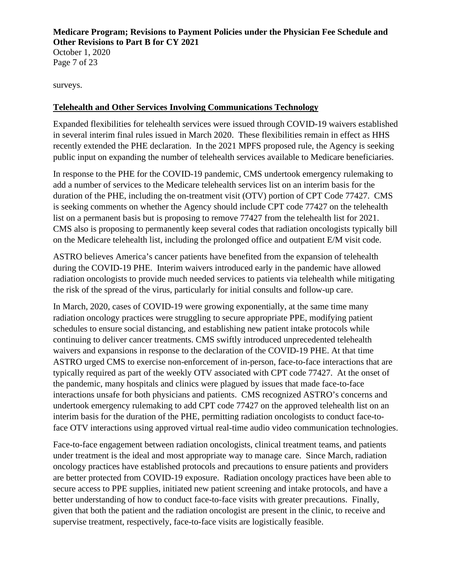October 1, 2020 Page 7 of 23

surveys.

### **Telehealth and Other Services Involving Communications Technology**

Expanded flexibilities for telehealth services were issued through COVID-19 waivers established in several interim final rules issued in March 2020. These flexibilities remain in effect as HHS recently extended the PHE declaration. In the 2021 MPFS proposed rule, the Agency is seeking public input on expanding the number of telehealth services available to Medicare beneficiaries.

In response to the PHE for the COVID-19 pandemic, CMS undertook emergency rulemaking to add a number of services to the Medicare telehealth services list on an interim basis for the duration of the PHE, including the on-treatment visit (OTV) portion of CPT Code 77427. CMS is seeking comments on whether the Agency should include CPT code 77427 on the telehealth list on a permanent basis but is proposing to remove 77427 from the telehealth list for 2021. CMS also is proposing to permanently keep several codes that radiation oncologists typically bill on the Medicare telehealth list, including the prolonged office and outpatient E/M visit code.

ASTRO believes America's cancer patients have benefited from the expansion of telehealth during the COVID-19 PHE. Interim waivers introduced early in the pandemic have allowed radiation oncologists to provide much needed services to patients via telehealth while mitigating the risk of the spread of the virus, particularly for initial consults and follow-up care.

In March, 2020, cases of COVID-19 were growing exponentially, at the same time many radiation oncology practices were struggling to secure appropriate PPE, modifying patient schedules to ensure social distancing, and establishing new patient intake protocols while continuing to deliver cancer treatments. CMS swiftly introduced unprecedented telehealth waivers and expansions in response to the declaration of the COVID-19 PHE. At that time ASTRO [urged](https://www.astro.org/ASTRO/media/ASTRO/News%20and%20Publications/PDFs/ASTROCOVID-1977427Request.pdf) CMS to exercise non-enforcement of in-person, face-to-face interactions that are typically required as part of the weekly OTV associated with CPT code 77427. At the onset of the pandemic, many hospitals and clinics were plagued by issues that made face-to-face interactions unsafe for both physicians and patients. CMS recognized ASTRO's concerns and undertook emergency rulemaking to add CPT code 77427 on the approved telehealth list on an interim basis for the duration of the PHE, permitting radiation oncologists to conduct face-toface OTV interactions using approved virtual real-time audio video communication technologies.

Face-to-face engagement between radiation oncologists, clinical treatment teams, and patients under treatment is the ideal and most appropriate way to manage care. Since March, radiation oncology practices have established protocols and precautions to ensure patients and providers are better protected from COVID-19 exposure. Radiation oncology practices have been able to secure access to PPE supplies, initiated new patient screening and intake protocols, and have a better understanding of how to conduct face-to-face visits with greater precautions. Finally, given that both the patient and the radiation oncologist are present in the clinic, to receive and supervise treatment, respectively, face-to-face visits are logistically feasible.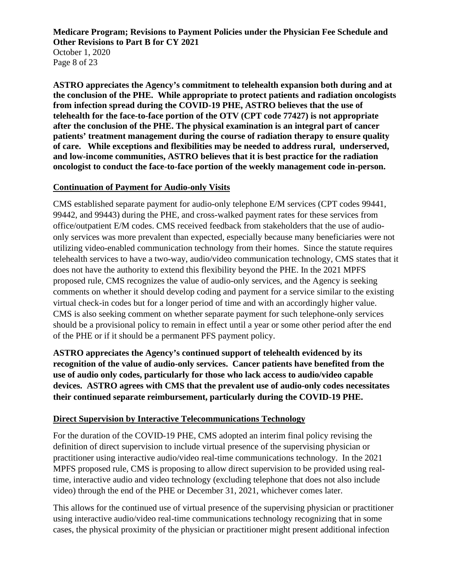October 1, 2020 Page 8 of 23

**ASTRO appreciates the Agency's commitment to telehealth expansion both during and at the conclusion of the PHE. While appropriate to protect patients and radiation oncologists from infection spread during the COVID-19 PHE, ASTRO believes that the use of telehealth for the face-to-face portion of the OTV (CPT code 77427) is not appropriate after the conclusion of the PHE. The physical examination is an integral part of cancer patients' treatment management during the course of radiation therapy to ensure quality of care. While exceptions and flexibilities may be needed to address rural, underserved, and low-income communities, ASTRO believes that it is best practice for the radiation oncologist to conduct the face-to-face portion of the weekly management code in-person.** 

### **Continuation of Payment for Audio-only Visits**

CMS established separate payment for audio-only telephone E/M services (CPT codes 99441, 99442, and 99443) during the PHE, and cross-walked payment rates for these services from office/outpatient E/M codes. CMS received feedback from stakeholders that the use of audioonly services was more prevalent than expected, especially because many beneficiaries were not utilizing video-enabled communication technology from their homes. Since the statute requires telehealth services to have a two-way, audio/video communication technology, CMS states that it does not have the authority to extend this flexibility beyond the PHE. In the 2021 MPFS proposed rule, CMS recognizes the value of audio-only services, and the Agency is seeking comments on whether it should develop coding and payment for a service similar to the existing virtual check-in codes but for a longer period of time and with an accordingly higher value. CMS is also seeking comment on whether separate payment for such telephone-only services should be a provisional policy to remain in effect until a year or some other period after the end of the PHE or if it should be a permanent PFS payment policy.

**ASTRO appreciates the Agency's continued support of telehealth evidenced by its recognition of the value of audio-only services. Cancer patients have benefited from the use of audio only codes, particularly for those who lack access to audio/video capable devices. ASTRO agrees with CMS that the prevalent use of audio-only codes necessitates their continued separate reimbursement, particularly during the COVID-19 PHE.** 

## **Direct Supervision by Interactive Telecommunications Technology**

For the duration of the COVID-19 PHE, CMS adopted an interim final policy revising the definition of direct supervision to include virtual presence of the supervising physician or practitioner using interactive audio/video real-time communications technology. In the 2021 MPFS proposed rule, CMS is proposing to allow direct supervision to be provided using realtime, interactive audio and video technology (excluding telephone that does not also include video) through the end of the PHE or December 31, 2021, whichever comes later.

This allows for the continued use of virtual presence of the supervising physician or practitioner using interactive audio/video real-time communications technology recognizing that in some cases, the physical proximity of the physician or practitioner might present additional infection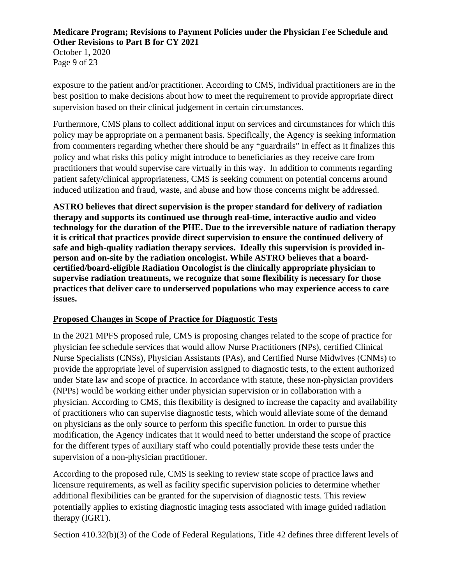October 1, 2020 Page 9 of 23

exposure to the patient and/or practitioner. According to CMS, individual practitioners are in the best position to make decisions about how to meet the requirement to provide appropriate direct supervision based on their clinical judgement in certain circumstances.

Furthermore, CMS plans to collect additional input on services and circumstances for which this policy may be appropriate on a permanent basis. Specifically, the Agency is seeking information from commenters regarding whether there should be any "guardrails" in effect as it finalizes this policy and what risks this policy might introduce to beneficiaries as they receive care from practitioners that would supervise care virtually in this way. In addition to comments regarding patient safety/clinical appropriateness, CMS is seeking comment on potential concerns around induced utilization and fraud, waste, and abuse and how those concerns might be addressed.

**ASTRO believes that direct supervision is the proper standard for delivery of radiation therapy and supports its continued use through real-time, interactive audio and video technology for the duration of the PHE. Due to the irreversible nature of radiation therapy it is critical that practices provide direct supervision to ensure the continued delivery of safe and high-quality radiation therapy services. Ideally this supervision is provided inperson and on-site by the radiation oncologist. While ASTRO believes that a boardcertified/board-eligible Radiation Oncologist is the clinically appropriate physician to supervise radiation treatments, we recognize that some flexibility is necessary for those practices that deliver care to underserved populations who may experience access to care issues.** 

## **Proposed Changes in Scope of Practice for Diagnostic Tests**

In the 2021 MPFS proposed rule, CMS is proposing changes related to the scope of practice for physician fee schedule services that would allow Nurse Practitioners (NPs), certified Clinical Nurse Specialists (CNSs), Physician Assistants (PAs), and Certified Nurse Midwives (CNMs) to provide the appropriate level of supervision assigned to diagnostic tests, to the extent authorized under State law and scope of practice. In accordance with statute, these non-physician providers (NPPs) would be working either under physician supervision or in collaboration with a physician. According to CMS, this flexibility is designed to increase the capacity and availability of practitioners who can supervise diagnostic tests, which would alleviate some of the demand on physicians as the only source to perform this specific function. In order to pursue this modification, the Agency indicates that it would need to better understand the scope of practice for the different types of auxiliary staff who could potentially provide these tests under the supervision of a non-physician practitioner.

According to the proposed rule, CMS is seeking to review state scope of practice laws and licensure requirements, as well as facility specific supervision policies to determine whether additional flexibilities can be granted for the supervision of diagnostic tests. This review potentially applies to existing diagnostic imaging tests associated with image guided radiation therapy (IGRT).

Section 410.32(b)(3) of the Code of Federal Regulations, Title 42 defines three different levels of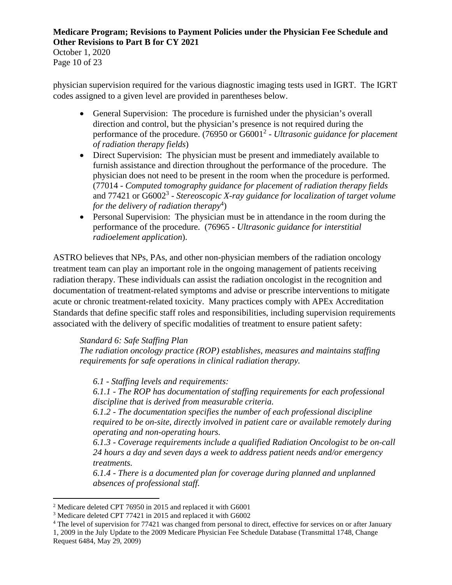October 1, 2020 Page 10 of 23

physician supervision required for the various diagnostic imaging tests used in IGRT. The IGRT codes assigned to a given level are provided in parentheses below.

- General Supervision: The procedure is furnished under the physician's overall direction and control, but the physician's presence is not required during the performance of the procedure. (76950 or G6001<sup>2</sup> - *Ultrasonic guidance for placement of radiation therapy fields*)
- Direct Supervision: The physician must be present and immediately available to furnish assistance and direction throughout the performance of the procedure. The physician does not need to be present in the room when the procedure is performed. (77014 - *Computed tomography guidance for placement of radiation therapy fields*  and 77421 or G6002<sup>3</sup> - *Stereoscopic X-ray guidance for localization of target volume* for the delivery of radiation therapy<sup>4</sup>)
- Personal Supervision: The physician must be in attendance in the room during the performance of the procedure. (76965 - *Ultrasonic guidance for interstitial radioelement application*).

ASTRO believes that NPs, PAs, and other non-physician members of the radiation oncology treatment team can play an important role in the ongoing management of patients receiving radiation therapy. These individuals can assist the radiation oncologist in the recognition and documentation of treatment-related symptoms and advise or prescribe interventions to mitigate acute or chronic treatment-related toxicity. Many practices comply with APEx Accreditation Standards that define specific staff roles and responsibilities, including supervision requirements associated with the delivery of specific modalities of treatment to ensure patient safety:

*Standard 6: Safe Staffing Plan* 

*The radiation oncology practice (ROP) establishes, measures and maintains staffing requirements for safe operations in clinical radiation therapy.* 

*6.1 - Staffing levels and requirements:* 

*6.1.1 - The ROP has documentation of staffing requirements for each professional discipline that is derived from measurable criteria.* 

*6.1.2 - The documentation specifies the number of each professional discipline required to be on-site, directly involved in patient care or available remotely during operating and non-operating hours.* 

*6.1.3 - Coverage requirements include a qualified Radiation Oncologist to be on-call 24 hours a day and seven days a week to address patient needs and/or emergency treatments.* 

*6.1.4 - There is a documented plan for coverage during planned and unplanned absences of professional staff.* 

<sup>&</sup>lt;sup>2</sup> Medicare deleted CPT 76950 in 2015 and replaced it with G6001

<sup>&</sup>lt;sup>3</sup> Medicare deleted CPT 77421 in 2015 and replaced it with G6002

<sup>&</sup>lt;sup>4</sup> The level of supervision for 77421 was changed from personal to direct, effective for services on or after January 1, 2009 in the July Update to the 2009 Medicare Physician Fee Schedule Database (Transmittal 1748, Change Request 6484, May 29, 2009)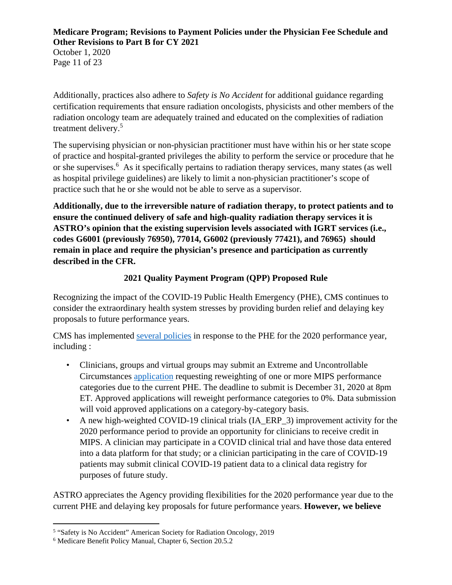October 1, 2020 Page 11 of 23

Additionally, practices also adhere to *Safety is No Accident* for additional guidance regarding certification requirements that ensure radiation oncologists, physicists and other members of the radiation oncology team are adequately trained and educated on the complexities of radiation treatment delivery.<sup>5</sup>

The supervising physician or non-physician practitioner must have within his or her state scope of practice and hospital-granted privileges the ability to perform the service or procedure that he or she supervises.<sup>6</sup> As it specifically pertains to radiation therapy services, many states (as well as hospital privilege guidelines) are likely to limit a non-physician practitioner's scope of practice such that he or she would not be able to serve as a supervisor.

**Additionally, due to the irreversible nature of radiation therapy, to protect patients and to ensure the continued delivery of safe and high-quality radiation therapy services it is ASTRO's opinion that the existing supervision levels associated with IGRT services (i.e., codes G6001 (previously 76950), 77014, G6002 (previously 77421), and 76965) should remain in place and require the physician's presence and participation as currently described in the CFR.** 

# **2021 Quality Payment Program (QPP) Proposed Rule**

Recognizing the impact of the COVID-19 Public Health Emergency (PHE), CMS continues to consider the extraordinary health system stresses by providing burden relief and delaying key proposals to future performance years.

CMS has implemented [several policies](https://qpp-cm-prod-content.s3.amazonaws.com/uploads/966/QPP%20COVID-19%20Response%20Fact%20Sheet.pdf) in response to the PHE for the 2020 performance year, including :

- Clinicians, groups and virtual groups may submit an Extreme and Uncontrollable Circumstances [application](https://qpp.cms.gov/mips/exception-applications#extremeCircumstancesException-2020) requesting reweighting of one or more MIPS performance categories due to the current PHE. The deadline to submit is December 31, 2020 at 8pm ET. Approved applications will reweight performance categories to 0%. Data submission will void approved applications on a category-by-category basis.
- A new high-weighted COVID-19 clinical trials (IA ERP 3) improvement activity for the 2020 performance period to provide an opportunity for clinicians to receive credit in MIPS. A clinician may participate in a COVID clinical trial and have those data entered into a data platform for that study; or a clinician participating in the care of COVID-19 patients may submit clinical COVID-19 patient data to a clinical data registry for purposes of future study.

ASTRO appreciates the Agency providing flexibilities for the 2020 performance year due to the current PHE and delaying key proposals for future performance years. **However, we believe** 

<sup>&</sup>lt;sup>5</sup> "Safety is No Accident" American Society for Radiation Oncology, 2019

<sup>6</sup> Medicare Benefit Policy Manual, Chapter 6, Section 20.5.2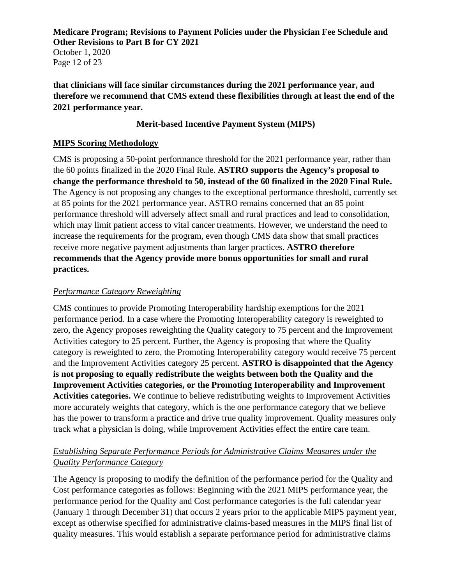October 1, 2020 Page 12 of 23

**that clinicians will face similar circumstances during the 2021 performance year, and therefore we recommend that CMS extend these flexibilities through at least the end of the 2021 performance year.**

### **Merit-based Incentive Payment System (MIPS)**

### **MIPS Scoring Methodology**

CMS is proposing a 50-point performance threshold for the 2021 performance year, rather than the 60 points finalized in the 2020 Final Rule. **ASTRO supports the Agency's proposal to change the performance threshold to 50, instead of the 60 finalized in the 2020 Final Rule.** The Agency is not proposing any changes to the exceptional performance threshold, currently set at 85 points for the 2021 performance year. ASTRO remains concerned that an 85 point performance threshold will adversely affect small and rural practices and lead to consolidation, which may limit patient access to vital cancer treatments. However, we understand the need to increase the requirements for the program, even though CMS data show that small practices receive more negative payment adjustments than larger practices. **ASTRO therefore recommends that the Agency provide more bonus opportunities for small and rural practices.** 

### *Performance Category Reweighting*

CMS continues to provide Promoting Interoperability hardship exemptions for the 2021 performance period. In a case where the Promoting Interoperability category is reweighted to zero, the Agency proposes reweighting the Quality category to 75 percent and the Improvement Activities category to 25 percent. Further, the Agency is proposing that where the Quality category is reweighted to zero, the Promoting Interoperability category would receive 75 percent and the Improvement Activities category 25 percent. **ASTRO is disappointed that the Agency is not proposing to equally redistribute the weights between both the Quality and the Improvement Activities categories, or the Promoting Interoperability and Improvement Activities categories.** We continue to believe redistributing weights to Improvement Activities more accurately weights that category, which is the one performance category that we believe has the power to transform a practice and drive true quality improvement. Quality measures only track what a physician is doing, while Improvement Activities effect the entire care team.

### *Establishing Separate Performance Periods for Administrative Claims Measures under the Quality Performance Category*

The Agency is proposing to modify the definition of the performance period for the Quality and Cost performance categories as follows: Beginning with the 2021 MIPS performance year, the performance period for the Quality and Cost performance categories is the full calendar year (January 1 through December 31) that occurs 2 years prior to the applicable MIPS payment year, except as otherwise specified for administrative claims-based measures in the MIPS final list of quality measures. This would establish a separate performance period for administrative claims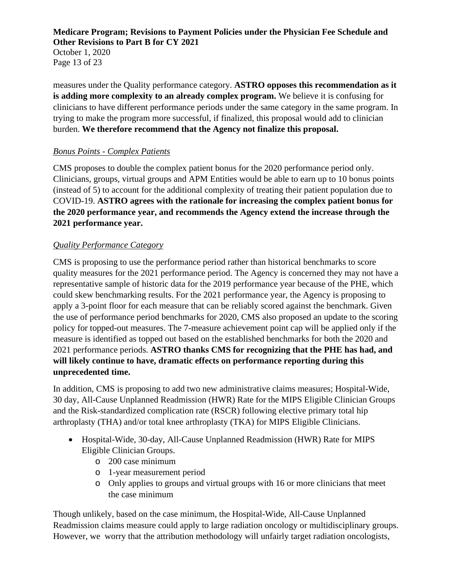October 1, 2020 Page 13 of 23

measures under the Quality performance category. **ASTRO opposes this recommendation as it is adding more complexity to an already complex program.** We believe it is confusing for clinicians to have different performance periods under the same category in the same program. In trying to make the program more successful, if finalized, this proposal would add to clinician burden. **We therefore recommend that the Agency not finalize this proposal.**

## *Bonus Points - Complex Patients*

CMS proposes to double the complex patient bonus for the 2020 performance period only. Clinicians, groups, virtual groups and APM Entities would be able to earn up to 10 bonus points (instead of 5) to account for the additional complexity of treating their patient population due to COVID-19. **ASTRO agrees with the rationale for increasing the complex patient bonus for the 2020 performance year, and recommends the Agency extend the increase through the 2021 performance year.** 

# *Quality Performance Category*

CMS is proposing to use the performance period rather than historical benchmarks to score quality measures for the 2021 performance period. The Agency is concerned they may not have a representative sample of historic data for the 2019 performance year because of the PHE, which could skew benchmarking results. For the 2021 performance year, the Agency is proposing to apply a 3-point floor for each measure that can be reliably scored against the benchmark. Given the use of performance period benchmarks for 2020, CMS also proposed an update to the scoring policy for topped-out measures. The 7-measure achievement point cap will be applied only if the measure is identified as topped out based on the established benchmarks for both the 2020 and 2021 performance periods. **ASTRO thanks CMS for recognizing that the PHE has had, and will likely continue to have, dramatic effects on performance reporting during this unprecedented time.** 

In addition, CMS is proposing to add two new administrative claims measures; Hospital-Wide, 30 day, All-Cause Unplanned Readmission (HWR) Rate for the MIPS Eligible Clinician Groups and the Risk-standardized complication rate (RSCR) following elective primary total hip arthroplasty (THA) and/or total knee arthroplasty (TKA) for MIPS Eligible Clinicians.

- Hospital-Wide, 30-day, All-Cause Unplanned Readmission (HWR) Rate for MIPS Eligible Clinician Groups.
	- o 200 case minimum
	- o 1-year measurement period
	- o Only applies to groups and virtual groups with 16 or more clinicians that meet the case minimum

Though unlikely, based on the case minimum, the Hospital-Wide, All-Cause Unplanned Readmission claims measure could apply to large radiation oncology or multidisciplinary groups. However, we worry that the attribution methodology will unfairly target radiation oncologists,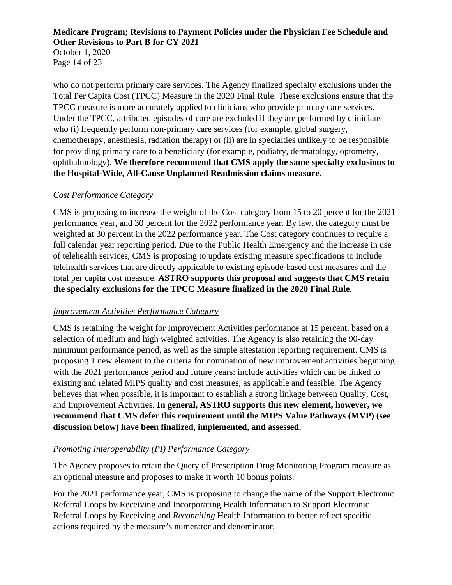October 1, 2020 Page 14 of 23

who do not perform primary care services. The Agency finalized specialty exclusions under the Total Per Capita Cost (TPCC) Measure in the 2020 Final Rule. These exclusions ensure that the TPCC measure is more accurately applied to clinicians who provide primary care services. Under the TPCC, attributed episodes of care are excluded if they are performed by clinicians who (i) frequently perform non-primary care services (for example, global surgery, chemotherapy, anesthesia, radiation therapy) or (ii) are in specialties unlikely to be responsible for providing primary care to a beneficiary (for example, podiatry, dermatology, optometry, ophthalmology). **We therefore recommend that CMS apply the same specialty exclusions to the Hospital-Wide, All-Cause Unplanned Readmission claims measure.** 

## *Cost Performance Category*

CMS is proposing to increase the weight of the Cost category from 15 to 20 percent for the 2021 performance year, and 30 percent for the 2022 performance year. By law, the category must be weighted at 30 percent in the 2022 performance year. The Cost category continues to require a full calendar year reporting period. Due to the Public Health Emergency and the increase in use of telehealth services, CMS is proposing to update existing measure specifications to include telehealth services that are directly applicable to existing episode-based cost measures and the total per capita cost measure. **ASTRO supports this proposal and suggests that CMS retain the specialty exclusions for the TPCC Measure finalized in the 2020 Final Rule.**

### *Improvement Activities Performance Category*

CMS is retaining the weight for Improvement Activities performance at 15 percent, based on a selection of medium and high weighted activities. The Agency is also retaining the 90-day minimum performance period, as well as the simple attestation reporting requirement. CMS is proposing 1 new element to the criteria for nomination of new improvement activities beginning with the 2021 performance period and future years: include activities which can be linked to existing and related MIPS quality and cost measures, as applicable and feasible. The Agency believes that when possible, it is important to establish a strong linkage between Quality, Cost, and Improvement Activities. **In general, ASTRO supports this new element, however, we recommend that CMS defer this requirement until the MIPS Value Pathways (MVP) (see discussion below) have been finalized, implemented, and assessed.**

### *Promoting Interoperability (PI) Performance Category*

The Agency proposes to retain the Query of Prescription Drug Monitoring Program measure as an optional measure and proposes to make it worth 10 bonus points.

For the 2021 performance year, CMS is proposing to change the name of the Support Electronic Referral Loops by Receiving and Incorporating Health Information to Support Electronic Referral Loops by Receiving and *Reconciling* Health Information to better reflect specific actions required by the measure's numerator and denominator.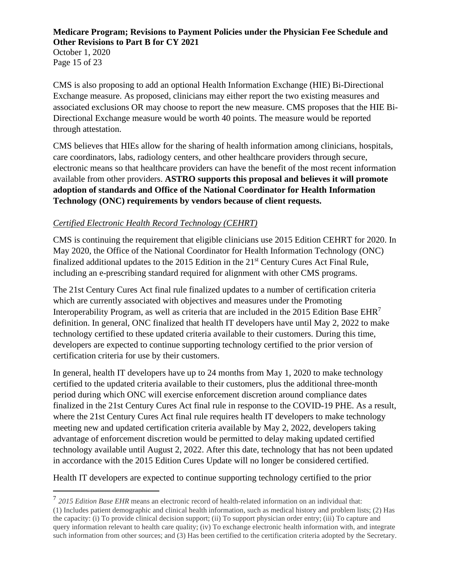October 1, 2020 Page 15 of 23

CMS is also proposing to add an optional Health Information Exchange (HIE) Bi-Directional Exchange measure. As proposed, clinicians may either report the two existing measures and associated exclusions OR may choose to report the new measure. CMS proposes that the HIE Bi-Directional Exchange measure would be worth 40 points. The measure would be reported through attestation.

CMS believes that HIEs allow for the sharing of health information among clinicians, hospitals, care coordinators, labs, radiology centers, and other healthcare providers through secure, electronic means so that healthcare providers can have the benefit of the most recent information available from other providers. **ASTRO supports this proposal and believes it will promote adoption of standards and Office of the National Coordinator for Health Information Technology (ONC) requirements by vendors because of client requests.**

# *Certified Electronic Health Record Technology (CEHRT)*

CMS is continuing the requirement that eligible clinicians use 2015 Edition CEHRT for 2020. In May 2020, the Office of the National Coordinator for Health Information Technology (ONC) finalized additional updates to the 2015 Edition in the 21st Century Cures Act Final Rule, including an e-prescribing standard required for alignment with other CMS programs.

The 21st Century Cures Act final rule finalized updates to a number of certification criteria which are currently associated with objectives and measures under the Promoting Interoperability Program, as well as criteria that are included in the 2015 Edition Base  $EHR<sup>7</sup>$ definition. In general, ONC finalized that health IT developers have until May 2, 2022 to make technology certified to these updated criteria available to their customers. During this time, developers are expected to continue supporting technology certified to the prior version of certification criteria for use by their customers.

In general, health IT developers have up to 24 months from May 1, 2020 to make technology certified to the updated criteria available to their customers, plus the additional three-month period during which ONC will exercise enforcement discretion around compliance dates finalized in the 21st Century Cures Act final rule in response to the COVID-19 PHE. As a result, where the 21st Century Cures Act final rule requires health IT developers to make technology meeting new and updated certification criteria available by May 2, 2022, developers taking advantage of enforcement discretion would be permitted to delay making updated certified technology available until August 2, 2022. After this date, technology that has not been updated in accordance with the 2015 Edition Cures Update will no longer be considered certified.

Health IT developers are expected to continue supporting technology certified to the prior

<sup>7</sup> *2015 Edition Base EHR* means an electronic record of health-related information on an individual that: (1) Includes patient demographic and clinical health information, such as medical history and problem lists; (2) Has the capacity: (i) To provide clinical decision support; (ii) To support physician order entry; (iii) To capture and query information relevant to health care quality; (iv) To exchange electronic health information with, and integrate such information from other sources; and (3) Has been certified to the certification criteria adopted by the Secretary.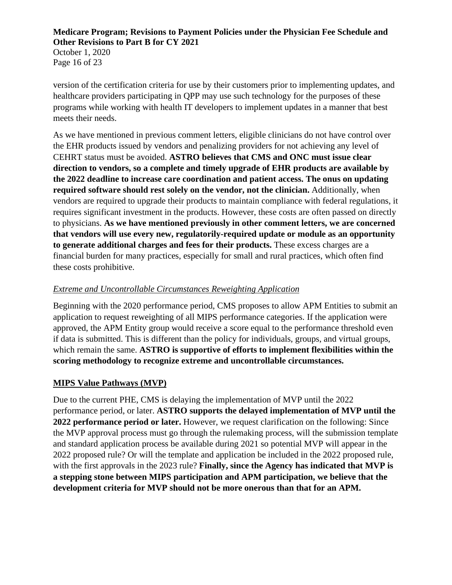October 1, 2020 Page 16 of 23

version of the certification criteria for use by their customers prior to implementing updates, and healthcare providers participating in QPP may use such technology for the purposes of these programs while working with health IT developers to implement updates in a manner that best meets their needs.

As we have mentioned in previous comment letters, eligible clinicians do not have control over the EHR products issued by vendors and penalizing providers for not achieving any level of CEHRT status must be avoided. **ASTRO believes that CMS and ONC must issue clear direction to vendors, so a complete and timely upgrade of EHR products are available by the 2022 deadline to increase care coordination and patient access. The onus on updating required software should rest solely on the vendor, not the clinician.** Additionally, when vendors are required to upgrade their products to maintain compliance with federal regulations, it requires significant investment in the products. However, these costs are often passed on directly to physicians. **As we have mentioned previously in other comment letters, we are concerned that vendors will use every new, regulatorily-required update or module as an opportunity to generate additional charges and fees for their products.** These excess charges are a financial burden for many practices, especially for small and rural practices, which often find these costs prohibitive.

## *Extreme and Uncontrollable Circumstances Reweighting Application*

Beginning with the 2020 performance period, CMS proposes to allow APM Entities to submit an application to request reweighting of all MIPS performance categories. If the application were approved, the APM Entity group would receive a score equal to the performance threshold even if data is submitted. This is different than the policy for individuals, groups, and virtual groups, which remain the same. **ASTRO** is supportive of efforts to implement flexibilities within the **scoring methodology to recognize extreme and uncontrollable circumstances.** 

## **MIPS Value Pathways (MVP)**

Due to the current PHE, CMS is delaying the implementation of MVP until the 2022 performance period, or later. **ASTRO supports the delayed implementation of MVP until the 2022 performance period or later.** However, we request clarification on the following: Since the MVP approval process must go through the rulemaking process, will the submission template and standard application process be available during 2021 so potential MVP will appear in the 2022 proposed rule? Or will the template and application be included in the 2022 proposed rule, with the first approvals in the 2023 rule? **Finally, since the Agency has indicated that MVP is a stepping stone between MIPS participation and APM participation, we believe that the development criteria for MVP should not be more onerous than that for an APM.**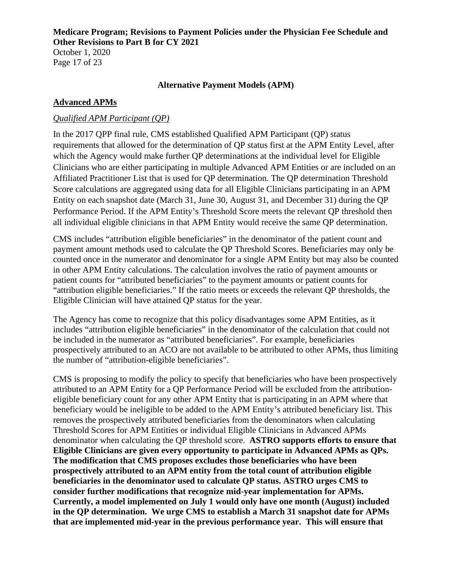October 1, 2020 Page 17 of 23

#### **Alternative Payment Models (APM)**

### **Advanced APMs**

### *Qualified APM Participant (QP)*

In the 2017 QPP final rule, CMS established Qualified APM Participant (QP) status requirements that allowed for the determination of QP status first at the APM Entity Level, after which the Agency would make further QP determinations at the individual level for Eligible Clinicians who are either participating in multiple Advanced APM Entities or are included on an Affiliated Practitioner List that is used for QP determination. The QP determination Threshold Score calculations are aggregated using data for all Eligible Clinicians participating in an APM Entity on each snapshot date (March 31, June 30, August 31, and December 31) during the QP Performance Period. If the APM Entity's Threshold Score meets the relevant QP threshold then all individual eligible clinicians in that APM Entity would receive the same QP determination.

CMS includes "attribution eligible beneficiaries" in the denominator of the patient count and payment amount methods used to calculate the QP Threshold Scores. Beneficiaries may only be counted once in the numerator and denominator for a single APM Entity but may also be counted in other APM Entity calculations. The calculation involves the ratio of payment amounts or patient counts for "attributed beneficiaries" to the payment amounts or patient counts for "attribution eligible beneficiaries." If the ratio meets or exceeds the relevant QP thresholds, the Eligible Clinician will have attained QP status for the year.

The Agency has come to recognize that this policy disadvantages some APM Entities, as it includes "attribution eligible beneficiaries" in the denominator of the calculation that could not be included in the numerator as "attributed beneficiaries". For example, beneficiaries prospectively attributed to an ACO are not available to be attributed to other APMs, thus limiting the number of "attribution-eligible beneficiaries".

CMS is proposing to modify the policy to specify that beneficiaries who have been prospectively attributed to an APM Entity for a QP Performance Period will be excluded from the attributioneligible beneficiary count for any other APM Entity that is participating in an APM where that beneficiary would be ineligible to be added to the APM Entity's attributed beneficiary list. This removes the prospectively attributed beneficiaries from the denominators when calculating Threshold Scores for APM Entities or individual Eligible Clinicians in Advanced APMs denominator when calculating the QP threshold score. **ASTRO supports efforts to ensure that Eligible Clinicians are given every opportunity to participate in Advanced APMs as QPs. The modification that CMS proposes excludes those beneficiaries who have been prospectively attributed to an APM entity from the total count of attribution eligible beneficiaries in the denominator used to calculate QP status. ASTRO urges CMS to consider further modifications that recognize mid-year implementation for APMs. Currently, a model implemented on July 1 would only have one month (August) included in the QP determination. We urge CMS to establish a March 31 snapshot date for APMs that are implemented mid-year in the previous performance year. This will ensure that**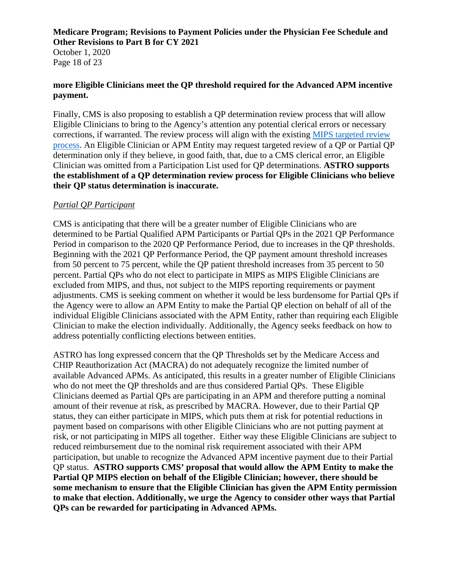October 1, 2020 Page 18 of 23

#### **more Eligible Clinicians meet the QP threshold required for the Advanced APM incentive payment.**

Finally, CMS is also proposing to establish a QP determination review process that will allow Eligible Clinicians to bring to the Agency's attention any potential clerical errors or necessary corrections, if warranted. The review process will align with the existing [MIPS targeted review](https://qpp.cms.gov/about/resource-library)  [process.](https://qpp.cms.gov/about/resource-library) An Eligible Clinician or APM Entity may request targeted review of a QP or Partial QP determination only if they believe, in good faith, that, due to a CMS clerical error, an Eligible Clinician was omitted from a Participation List used for QP determinations. **ASTRO supports the establishment of a QP determination review process for Eligible Clinicians who believe their QP status determination is inaccurate.**

### *Partial QP Participant*

CMS is anticipating that there will be a greater number of Eligible Clinicians who are determined to be Partial Qualified APM Participants or Partial QPs in the 2021 QP Performance Period in comparison to the 2020 QP Performance Period, due to increases in the QP thresholds. Beginning with the 2021 QP Performance Period, the QP payment amount threshold increases from 50 percent to 75 percent, while the QP patient threshold increases from 35 percent to 50 percent. Partial QPs who do not elect to participate in MIPS as MIPS Eligible Clinicians are excluded from MIPS, and thus, not subject to the MIPS reporting requirements or payment adjustments. CMS is seeking comment on whether it would be less burdensome for Partial QPs if the Agency were to allow an APM Entity to make the Partial QP election on behalf of all of the individual Eligible Clinicians associated with the APM Entity, rather than requiring each Eligible Clinician to make the election individually. Additionally, the Agency seeks feedback on how to address potentially conflicting elections between entities.

ASTRO has long expressed concern that the QP Thresholds set by the Medicare Access and CHIP Reauthorization Act (MACRA) do not adequately recognize the limited number of available Advanced APMs. As anticipated, this results in a greater number of Eligible Clinicians who do not meet the QP thresholds and are thus considered Partial QPs. These Eligible Clinicians deemed as Partial QPs are participating in an APM and therefore putting a nominal amount of their revenue at risk, as prescribed by MACRA. However, due to their Partial QP status, they can either participate in MIPS, which puts them at risk for potential reductions in payment based on comparisons with other Eligible Clinicians who are not putting payment at risk, or not participating in MIPS all together. Either way these Eligible Clinicians are subject to reduced reimbursement due to the nominal risk requirement associated with their APM participation, but unable to recognize the Advanced APM incentive payment due to their Partial QP status. **ASTRO supports CMS' proposal that would allow the APM Entity to make the Partial QP MIPS election on behalf of the Eligible Clinician; however, there should be some mechanism to ensure that the Eligible Clinician has given the APM Entity permission to make that election. Additionally, we urge the Agency to consider other ways that Partial QPs can be rewarded for participating in Advanced APMs.**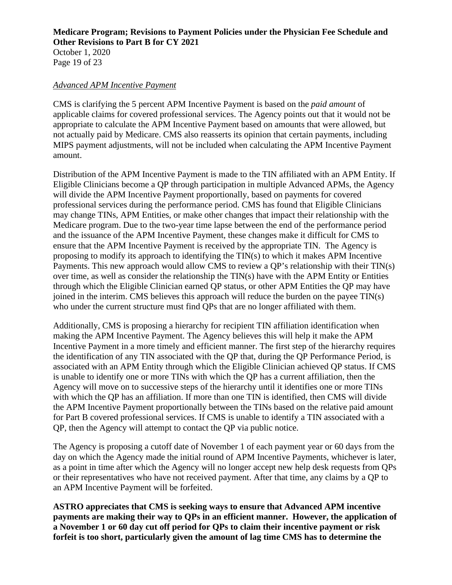October 1, 2020 Page 19 of 23

#### *Advanced APM Incentive Payment*

CMS is clarifying the 5 percent APM Incentive Payment is based on the *paid amount* of applicable claims for covered professional services. The Agency points out that it would not be appropriate to calculate the APM Incentive Payment based on amounts that were allowed, but not actually paid by Medicare. CMS also reasserts its opinion that certain payments, including MIPS payment adjustments, will not be included when calculating the APM Incentive Payment amount.

Distribution of the APM Incentive Payment is made to the TIN affiliated with an APM Entity. If Eligible Clinicians become a QP through participation in multiple Advanced APMs, the Agency will divide the APM Incentive Payment proportionally, based on payments for covered professional services during the performance period. CMS has found that Eligible Clinicians may change TINs, APM Entities, or make other changes that impact their relationship with the Medicare program. Due to the two-year time lapse between the end of the performance period and the issuance of the APM Incentive Payment, these changes make it difficult for CMS to ensure that the APM Incentive Payment is received by the appropriate TIN. The Agency is proposing to modify its approach to identifying the TIN(s) to which it makes APM Incentive Payments. This new approach would allow CMS to review a QP's relationship with their TIN(s) over time, as well as consider the relationship the TIN(s) have with the APM Entity or Entities through which the Eligible Clinician earned QP status, or other APM Entities the QP may have joined in the interim. CMS believes this approach will reduce the burden on the payee TIN(s) who under the current structure must find QPs that are no longer affiliated with them.

Additionally, CMS is proposing a hierarchy for recipient TIN affiliation identification when making the APM Incentive Payment. The Agency believes this will help it make the APM Incentive Payment in a more timely and efficient manner. The first step of the hierarchy requires the identification of any TIN associated with the QP that, during the QP Performance Period, is associated with an APM Entity through which the Eligible Clinician achieved QP status. If CMS is unable to identify one or more TINs with which the QP has a current affiliation, then the Agency will move on to successive steps of the hierarchy until it identifies one or more TINs with which the QP has an affiliation. If more than one TIN is identified, then CMS will divide the APM Incentive Payment proportionally between the TINs based on the relative paid amount for Part B covered professional services. If CMS is unable to identify a TIN associated with a QP, then the Agency will attempt to contact the QP via public notice.

The Agency is proposing a cutoff date of November 1 of each payment year or 60 days from the day on which the Agency made the initial round of APM Incentive Payments, whichever is later, as a point in time after which the Agency will no longer accept new help desk requests from QPs or their representatives who have not received payment. After that time, any claims by a QP to an APM Incentive Payment will be forfeited.

**ASTRO appreciates that CMS is seeking ways to ensure that Advanced APM incentive payments are making their way to QPs in an efficient manner. However, the application of a November 1 or 60 day cut off period for QPs to claim their incentive payment or risk forfeit is too short, particularly given the amount of lag time CMS has to determine the**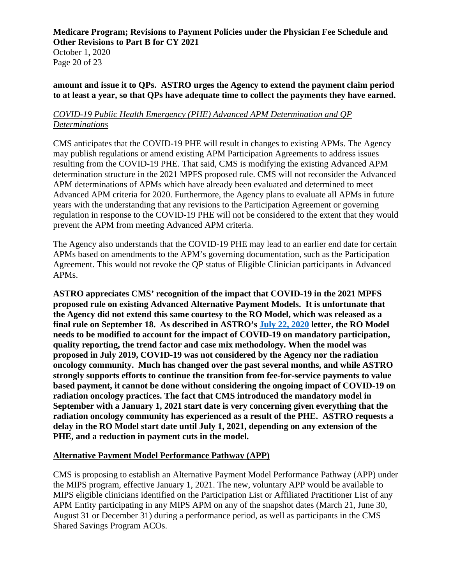October 1, 2020 Page 20 of 23

#### **amount and issue it to QPs. ASTRO urges the Agency to extend the payment claim period to at least a year, so that QPs have adequate time to collect the payments they have earned.**

### *COVID-19 Public Health Emergency (PHE) Advanced APM Determination and QP Determinations*

CMS anticipates that the COVID-19 PHE will result in changes to existing APMs. The Agency may publish regulations or amend existing APM Participation Agreements to address issues resulting from the COVID-19 PHE. That said, CMS is modifying the existing Advanced APM determination structure in the 2021 MPFS proposed rule. CMS will not reconsider the Advanced APM determinations of APMs which have already been evaluated and determined to meet Advanced APM criteria for 2020. Furthermore, the Agency plans to evaluate all APMs in future years with the understanding that any revisions to the Participation Agreement or governing regulation in response to the COVID-19 PHE will not be considered to the extent that they would prevent the APM from meeting Advanced APM criteria.

The Agency also understands that the COVID-19 PHE may lead to an earlier end date for certain APMs based on amendments to the APM's governing documentation, such as the Participation Agreement. This would not revoke the QP status of Eligible Clinician participants in Advanced APMs.

**ASTRO appreciates CMS' recognition of the impact that COVID-19 in the 2021 MPFS proposed rule on existing Advanced Alternative Payment Models. It is unfortunate that the Agency did not extend this same courtesy to the RO Model, which was released as a final rule on September 18. As described in ASTRO's [July 22, 2020](https://www.astro.org/ASTRO/media/ASTRO/News%20and%20Publications/PDFs/ROModelCOVIDletter.pdf) letter, the RO Model needs to be modified to account for the impact of COVID-19 on mandatory participation, quality reporting, the trend factor and case mix methodology. When the model was proposed in July 2019, COVID-19 was not considered by the Agency nor the radiation oncology community. Much has changed over the past several months, and while ASTRO strongly supports efforts to continue the transition from fee-for-service payments to value based payment, it cannot be done without considering the ongoing impact of COVID-19 on radiation oncology practices. The fact that CMS introduced the mandatory model in September with a January 1, 2021 start date is very concerning given everything that the radiation oncology community has experienced as a result of the PHE. ASTRO requests a delay in the RO Model start date until July 1, 2021, depending on any extension of the PHE, and a reduction in payment cuts in the model.** 

### **Alternative Payment Model Performance Pathway (APP)**

CMS is proposing to establish an Alternative Payment Model Performance Pathway (APP) under the MIPS program, effective January 1, 2021. The new, voluntary APP would be available to MIPS eligible clinicians identified on the Participation List or Affiliated Practitioner List of any APM Entity participating in any MIPS APM on any of the snapshot dates (March 21, June 30, August 31 or December 31) during a performance period, as well as participants in the CMS Shared Savings Program ACOs.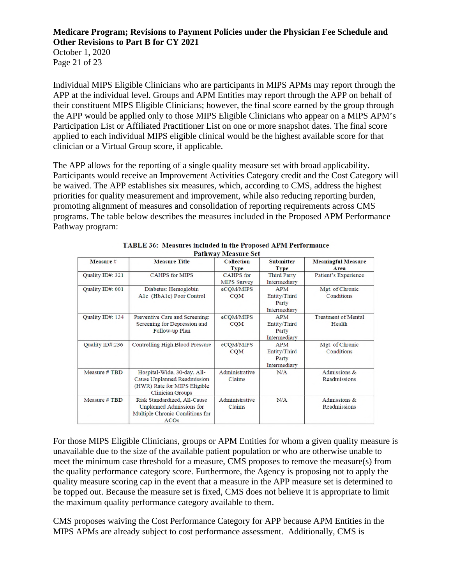October 1, 2020 Page 21 of 23

Individual MIPS Eligible Clinicians who are participants in MIPS APMs may report through the APP at the individual level. Groups and APM Entities may report through the APP on behalf of their constituent MIPS Eligible Clinicians; however, the final score earned by the group through the APP would be applied only to those MIPS Eligible Clinicians who appear on a MIPS APM's Participation List or Affiliated Practitioner List on one or more snapshot dates. The final score applied to each individual MIPS eligible clinical would be the highest available score for that clinician or a Virtual Group score, if applicable.

The APP allows for the reporting of a single quality measure set with broad applicability. Participants would receive an Improvement Activities Category credit and the Cost Category will be waived. The APP establishes six measures, which, according to CMS, address the highest priorities for quality measurement and improvement, while also reducing reporting burden, promoting alignment of measures and consolidation of reporting requirements across CMS programs. The table below describes the measures included in the Proposed APM Performance Pathway program:

| Measure #        | <b>Measure Title</b>                                                                                                   | <b>Collection</b><br><b>Type</b>       | <b>Submitter</b><br><b>Type</b>                     | <b>Meaningful Measure</b><br>Area    |
|------------------|------------------------------------------------------------------------------------------------------------------------|----------------------------------------|-----------------------------------------------------|--------------------------------------|
| Quality ID#: 321 | <b>CAHPS for MIPS</b>                                                                                                  | <b>CAHPS</b> for<br><b>MIPS Survey</b> | <b>Third Party</b><br>Intermediary                  | Patient's Experience                 |
| Quality ID#: 001 | Diabetes: Hemoglobin<br>Alc (HbAlc) Poor Control                                                                       | eCOM/MIPS<br><b>CQM</b>                | <b>APM</b><br>Entity/Third<br>Party<br>Intermediary | Mgt. of Chronic<br>Conditions        |
| Quality ID#: 134 | Preventive Care and Screening:<br>Screening for Depression and<br>Follow-up Plan                                       | eCQM/MIPS<br><b>CQM</b>                | APM<br>Entity/Third<br>Party<br>Intermediary        | <b>Treatment of Mental</b><br>Health |
| Quality ID#:236  | Controlling High Blood Pressure                                                                                        | eCOM/MIPS<br><b>CQM</b>                | <b>APM</b><br>Entity/Third<br>Party<br>Intermediary | Mgt. of Chronic<br>Conditions        |
| Measure #TBD     | Hospital-Wide, 30-day, All-<br>Cause Unplanned Readmission<br>(HWR) Rate for MIPS Eligible<br><b>Clinician Groups</b>  | Administrative<br>Claims               | N/A                                                 | Admissions &<br>Readmissions         |
| Measure #TBD     | Risk Standardized, All-Cause<br><b>Unplanned Admissions for</b><br>Multiple Chronic Conditions for<br>ACO <sub>s</sub> | Administrative<br>Claims               | N/A                                                 | Admissions &<br>Readmissions         |

| <b>TABLE 36: Measures included in the Proposed APM Performance</b> |
|--------------------------------------------------------------------|
| <b>Pathway Measure Set</b>                                         |

For those MIPS Eligible Clinicians, groups or APM Entities for whom a given quality measure is unavailable due to the size of the available patient population or who are otherwise unable to meet the minimum case threshold for a measure, CMS proposes to remove the measure(s) from the quality performance category score. Furthermore, the Agency is proposing not to apply the quality measure scoring cap in the event that a measure in the APP measure set is determined to be topped out. Because the measure set is fixed, CMS does not believe it is appropriate to limit the maximum quality performance category available to them.

CMS proposes waiving the Cost Performance Category for APP because APM Entities in the MIPS APMs are already subject to cost performance assessment. Additionally, CMS is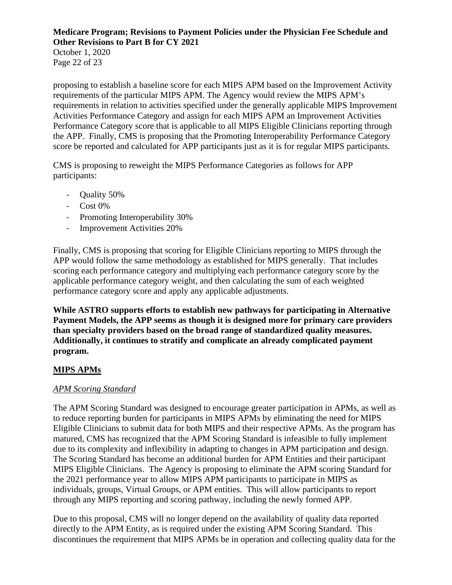October 1, 2020 Page 22 of 23

proposing to establish a baseline score for each MIPS APM based on the Improvement Activity requirements of the particular MIPS APM. The Agency would review the MIPS APM's requirements in relation to activities specified under the generally applicable MIPS Improvement Activities Performance Category and assign for each MIPS APM an Improvement Activities Performance Category score that is applicable to all MIPS Eligible Clinicians reporting through the APP. Finally, CMS is proposing that the Promoting Interoperability Performance Category score be reported and calculated for APP participants just as it is for regular MIPS participants.

CMS is proposing to reweight the MIPS Performance Categories as follows for APP participants:

- Quality 50%
- Cost 0%
- Promoting Interoperability 30%
- Improvement Activities 20%

Finally, CMS is proposing that scoring for Eligible Clinicians reporting to MIPS through the APP would follow the same methodology as established for MIPS generally. That includes scoring each performance category and multiplying each performance category score by the applicable performance category weight, and then calculating the sum of each weighted performance category score and apply any applicable adjustments.

**While ASTRO supports efforts to establish new pathways for participating in Alternative Payment Models, the APP seems as though it is designed more for primary care providers than specialty providers based on the broad range of standardized quality measures. Additionally, it continues to stratify and complicate an already complicated payment program.** 

# **MIPS APMs**

## *APM Scoring Standard*

The APM Scoring Standard was designed to encourage greater participation in APMs, as well as to reduce reporting burden for participants in MIPS APMs by eliminating the need for MIPS Eligible Clinicians to submit data for both MIPS and their respective APMs. As the program has matured, CMS has recognized that the APM Scoring Standard is infeasible to fully implement due to its complexity and inflexibility in adapting to changes in APM participation and design. The Scoring Standard has become an additional burden for APM Entities and their participant MIPS Eligible Clinicians. The Agency is proposing to eliminate the APM scoring Standard for the 2021 performance year to allow MIPS APM participants to participate in MIPS as individuals, groups, Virtual Groups, or APM entities. This will allow participants to report through any MIPS reporting and scoring pathway, including the newly formed APP.

Due to this proposal, CMS will no longer depend on the availability of quality data reported directly to the APM Entity, as is required under the existing APM Scoring Standard. This discontinues the requirement that MIPS APMs be in operation and collecting quality data for the